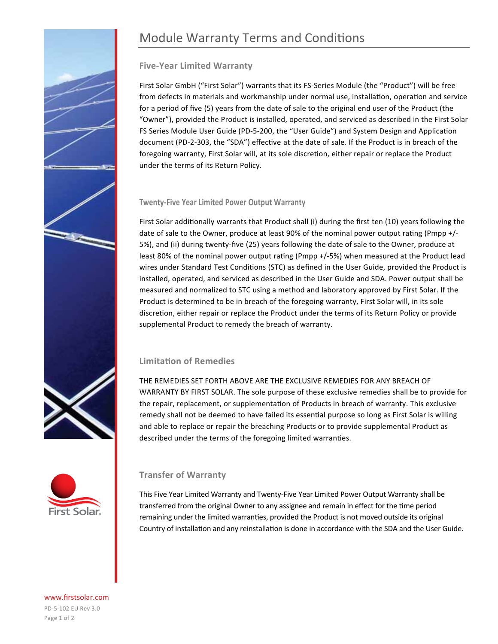# Module Warranty Terms and Conditions

# **Five-Year Limited Warranty**

First Solar GmbH ("First Solar") warrants that its FS-Series Module (the "Product") will be free from defects in materials and workmanship under normal use, installation, operation and service for a period of five (5) years from the date of sale to the original end user of the Product (the "Owner"), provided the Product is installed, operated, and serviced as described in the First Solar FS Series Module User Guide (PD-5-200, the "User Guide") and System Design and Application document (PD-2-303, the "SDA") effective at the date of sale. If the Product is in breach of the foregoing warranty, First Solar will, at its sole discretion, either repair or replace the Product under the terms of its Return Policy.

## **Twenty-Five Year Limited Power Output Warranty**

First Solar additionally warrants that Product shall (i) during the first ten (10) years following the date of sale to the Owner, produce at least 90% of the nominal power output rating (Pmpp +/- 5%), and (ii) during twenty-five (25) years following the date of sale to the Owner, produce at least 80% of the nominal power output rating (Pmpp +/-5%) when measured at the Product lead wires under Standard Test Conditions (STC) as defined in the User Guide, provided the Product is installed, operated, and serviced as described in the User Guide and SDA. Power output shall be measured and normalized to STC using a method and laboratory approved by First Solar. If the Product is determined to be in breach of the foregoing warranty, First Solar will, in its sole discretion, either repair or replace the Product under the terms of its Return Policy or provide supplemental Product to remedy the breach of warranty.

# **Limitation of Remedies**

THE REMEDIES SET FORTH ABOVE ARE THE EXCLUSIVE REMEDIES FOR ANY BREACH OF WARRANTY BY FIRST SOLAR. The sole purpose of these exclusive remedies shall be to provide for the repair, replacement, or supplementation of Products in breach of warranty. This exclusive remedy shall not be deemed to have failed its essential purpose so long as First Solar is willing and able to replace or repair the breaching Products or to provide supplemental Product as described under the terms of the foregoing limited warranties.



# **Transfer of Warranty**

This Five Year Limited Warranty and Twenty-Five Year Limited Power Output Warranty shall be transferred from the original Owner to any assignee and remain in effect for the time period remaining under the limited warranties, provided the Product is not moved outside its original Country of installation and any reinstallation is done in accordance with the SDA and the User Guide.

www.firstsolar.com PD-5-102 EU Rev 3.0 Page 1 of 2